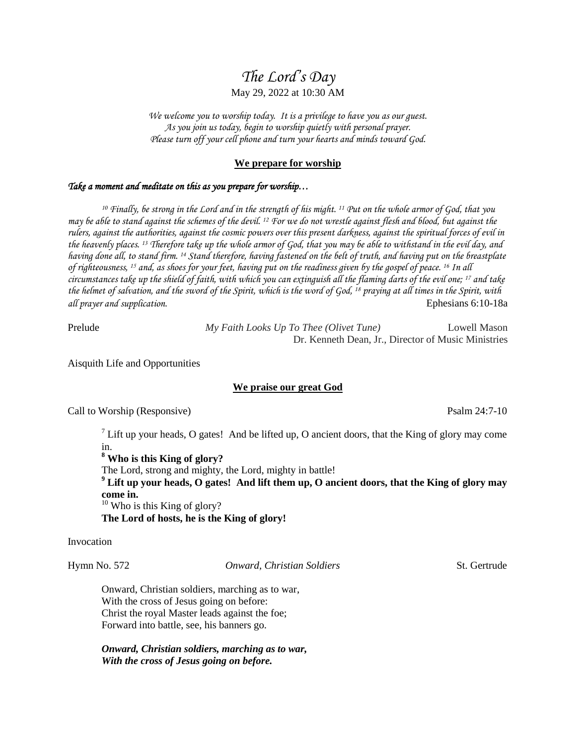# *The Lord's Day* May 29, 2022 at 10:30 AM

*We welcome you to worship today. It is a privilege to have you as our guest. As you join us today, begin to worship quietly with personal prayer. Please turn off your cell phone and turn your hearts and minds toward God.*

#### **We prepare for worship**

#### *Take a moment and meditate on this as you prepare for worship…*

*<sup>10</sup> Finally, be strong in the Lord and in the strength of his might. <sup>11</sup> Put on the whole armor of God, that you may be able to stand against the schemes of the devil. <sup>12</sup> For we do not wrestle against flesh and blood, but against the rulers, against the authorities, against the cosmic powers over this present darkness, against the spiritual forces of evil in the heavenly places. <sup>13</sup> Therefore take up the whole armor of God, that you may be able to withstand in the evil day, and having done all, to stand firm. <sup>14</sup> Stand therefore, having fastened on the belt of truth, and having put on the breastplate of righteousness, <sup>15</sup> and, as shoes for your feet, having put on the readiness given by the gospel of peace. <sup>16</sup> In all circumstances take up the shield of faith, with which you can extinguish all the flaming darts of the evil one; <sup>17</sup> and take the helmet of salvation, and the sword of the Spirit, which is the word of God, <sup>18</sup> praying at all times in the Spirit, with all prayer and supplication.* Ephesians 6:10-18a

Prelude *My Faith Looks Up To Thee (Olivet Tune)* Lowell Mason Dr. Kenneth Dean, Jr., Director of Music Ministries

Aisquith Life and Opportunities

#### **We praise our great God**

Call to Worship (Responsive) **Psalm 24:7-10** 

 $7$  Lift up your heads, O gates! And be lifted up, O ancient doors, that the King of glory may come in.

**<sup>8</sup> Who is this King of glory?**

The Lord, strong and mighty, the Lord, mighty in battle!

**<sup>9</sup> Lift up your heads, O gates! And lift them up, O ancient doors, that the King of glory may come in.**

 $10$  Who is this King of glory?

**The Lord of hosts, he is the King of glory!**

Invocation

Hymn No. 572 *Onward, Christian Soldiers* St. Gertrude

Onward, Christian soldiers, marching as to war, With the cross of Jesus going on before: Christ the royal Master leads against the foe; Forward into battle, see, his banners go.

*Onward, Christian soldiers, marching as to war, With the cross of Jesus going on before.*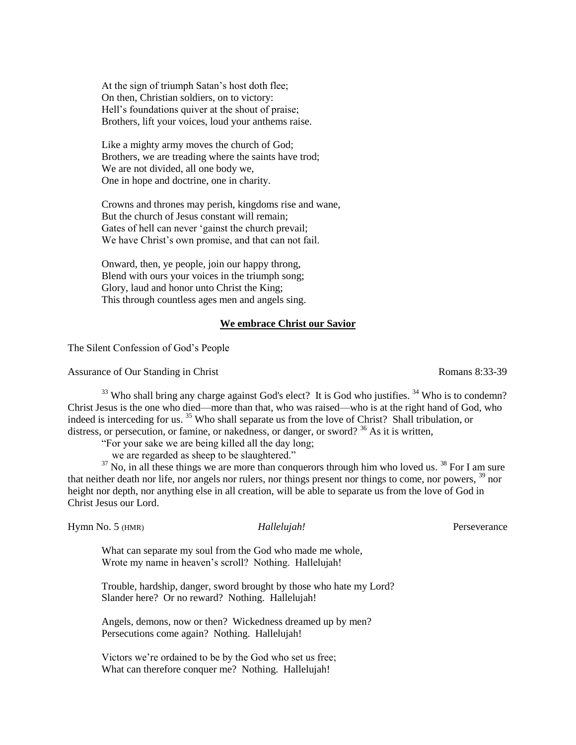At the sign of triumph Satan's host doth flee; On then, Christian soldiers, on to victory: Hell's foundations quiver at the shout of praise; Brothers, lift your voices, loud your anthems raise.

Like a mighty army moves the church of God; Brothers, we are treading where the saints have trod; We are not divided, all one body we, One in hope and doctrine, one in charity.

Crowns and thrones may perish, kingdoms rise and wane, But the church of Jesus constant will remain; Gates of hell can never 'gainst the church prevail; We have Christ's own promise, and that can not fail.

Onward, then, ye people, join our happy throng, Blend with ours your voices in the triumph song; Glory, laud and honor unto Christ the King; This through countless ages men and angels sing.

# **We embrace Christ our Savior**

The Silent Confession of God's People

Assurance of Our Standing in Christ Romans 8:33-39

 $33$  Who shall bring any charge against God's elect? It is God who justifies.  $34$  Who is to condemn? Christ Jesus is the one who died—more than that, who was raised—who is at the right hand of God, who indeed is interceding for us. <sup>35</sup> Who shall separate us from the love of Christ? Shall tribulation, or distress, or persecution, or famine, or nakedness, or danger, or sword? <sup>36</sup> As it is written,

"For your sake we are being killed all the day long;

we are regarded as sheep to be slaughtered."

 $37$  No, in all these things we are more than conquerors through him who loved us.  $38$  For I am sure that neither death nor life, nor angels nor rulers, nor things present nor things to come, nor powers, <sup>39</sup> nor height nor depth, nor anything else in all creation, will be able to separate us from the love of God in Christ Jesus our Lord.

What can separate my soul from the God who made me whole, Wrote my name in heaven's scroll? Nothing. Hallelujah!

Trouble, hardship, danger, sword brought by those who hate my Lord? Slander here? Or no reward? Nothing. Hallelujah!

Angels, demons, now or then? Wickedness dreamed up by men? Persecutions come again? Nothing. Hallelujah!

Victors we're ordained to be by the God who set us free; What can therefore conquer me? Nothing. Hallelujah!

Hymn No. 5 (HMR) *Hallelujah!* Perseverance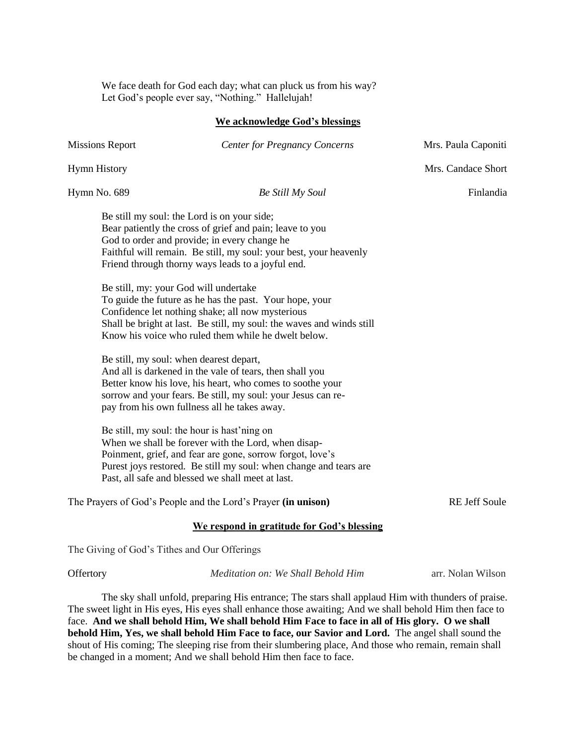We face death for God each day; what can pluck us from his way? Let God's people ever say, "Nothing." Hallelujah!

#### **We acknowledge God's blessings**

| <b>Missions Report</b>                       | <b>Center for Pregnancy Concerns</b>                                                                                                                                                                                                        | Mrs. Paula Caponiti  |
|----------------------------------------------|---------------------------------------------------------------------------------------------------------------------------------------------------------------------------------------------------------------------------------------------|----------------------|
| <b>Hymn History</b>                          |                                                                                                                                                                                                                                             | Mrs. Candace Short   |
| Hymn No. 689                                 | Be Still My Soul                                                                                                                                                                                                                            | Finlandia            |
| Be still my soul: the Lord is on your side;  | Bear patiently the cross of grief and pain; leave to you<br>God to order and provide; in every change he<br>Faithful will remain. Be still, my soul: your best, your heavenly<br>Friend through thorny ways leads to a joyful end.          |                      |
| Be still, my: your God will undertake        | To guide the future as he has the past. Your hope, your<br>Confidence let nothing shake; all now mysterious<br>Shall be bright at last. Be still, my soul: the waves and winds still<br>Know his voice who ruled them while he dwelt below. |                      |
| Be still, my soul: when dearest depart,      | And all is darkened in the vale of tears, then shall you<br>Better know his love, his heart, who comes to soothe your<br>sorrow and your fears. Be still, my soul: your Jesus can re-<br>pay from his own fullness all he takes away.       |                      |
| Be still, my soul: the hour is hast'ning on  | When we shall be forever with the Lord, when disap-<br>Poinment, grief, and fear are gone, sorrow forgot, love's<br>Purest joys restored. Be still my soul: when change and tears are<br>Past, all safe and blessed we shall meet at last.  |                      |
|                                              | The Prayers of God's People and the Lord's Prayer (in unison)                                                                                                                                                                               | <b>RE Jeff Soule</b> |
|                                              | We respond in gratitude for God's blessing                                                                                                                                                                                                  |                      |
| The Giving of God's Tithes and Our Offerings |                                                                                                                                                                                                                                             |                      |

Offertory *Meditation on: We Shall Behold Him* arr. Nolan Wilson

The sky shall unfold, preparing His entrance; The stars shall applaud Him with thunders of praise. The sweet light in His eyes, His eyes shall enhance those awaiting; And we shall behold Him then face to face. **And we shall behold Him, We shall behold Him Face to face in all of His glory. O we shall behold Him, Yes, we shall behold Him Face to face, our Savior and Lord.** The angel shall sound the shout of His coming; The sleeping rise from their slumbering place, And those who remain, remain shall

be changed in a moment; And we shall behold Him then face to face.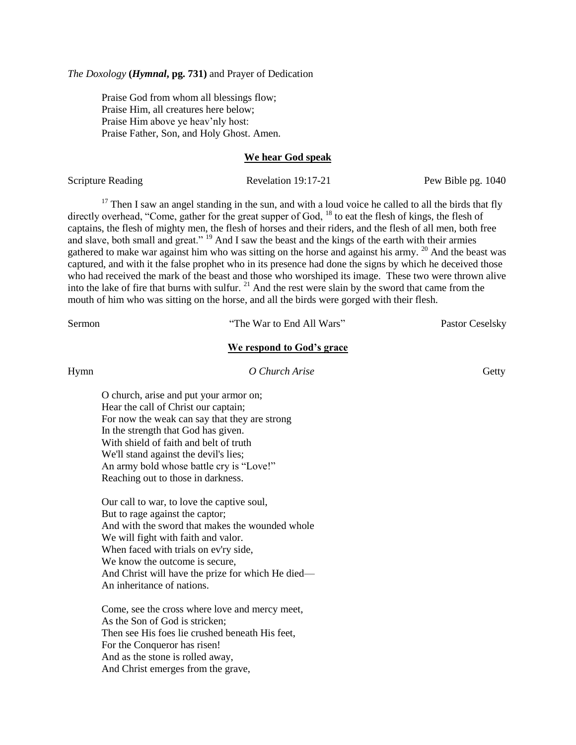*The Doxology* **(***Hymnal***, pg. 731)** and Prayer of Dedication

Praise God from whom all blessings flow; Praise Him, all creatures here below; Praise Him above ye heav'nly host: Praise Father, Son, and Holy Ghost. Amen.

#### **We hear God speak**

Scripture Reading Revelation 19:17-21 Pew Bible pg. 1040

<sup>17</sup> Then I saw an angel standing in the sun, and with a loud voice he called to all the birds that fly directly overhead, "Come, gather for the great supper of God, <sup>18</sup> to eat the flesh of kings, the flesh of captains, the flesh of mighty men, the flesh of horses and their riders, and the flesh of all men, both free and slave, both small and great." <sup>19</sup> And I saw the beast and the kings of the earth with their armies gathered to make war against him who was sitting on the horse and against his army. <sup>20</sup> And the beast was captured, and with it the false prophet who in its presence had done the signs by which he deceived those who had received the mark of the beast and those who worshiped its image. These two were thrown alive into the lake of fire that burns with sulfur. <sup>21</sup> And the rest were slain by the sword that came from the mouth of him who was sitting on the horse, and all the birds were gorged with their flesh.

| Sermon                                     | "The War to End All Wars"                         | Pastor Ceselsky |
|--------------------------------------------|---------------------------------------------------|-----------------|
|                                            | We respond to God's grace                         |                 |
| Hymn                                       | O Church Arise                                    | Getty           |
|                                            | O church, arise and put your armor on;            |                 |
|                                            |                                                   |                 |
|                                            | For now the weak can say that they are strong     |                 |
|                                            | In the strength that God has given.               |                 |
|                                            | With shield of faith and belt of truth            |                 |
|                                            | We'll stand against the devil's lies;             |                 |
| An army bold whose battle cry is "Love!"   |                                                   |                 |
|                                            | Reaching out to those in darkness.                |                 |
| Our call to war, to love the captive soul, |                                                   |                 |
|                                            |                                                   |                 |
|                                            | And with the sword that makes the wounded whole   |                 |
|                                            | We will fight with faith and valor.               |                 |
|                                            | When faced with trials on ev'ry side,             |                 |
|                                            | We know the outcome is secure,                    |                 |
|                                            | And Christ will have the prize for which He died— |                 |
|                                            | An inheritance of nations.                        |                 |
|                                            | Come, see the cross where love and mercy meet,    |                 |
|                                            | As the Son of God is stricken;                    |                 |
|                                            | Then see His foes lie crushed beneath His feet,   |                 |
|                                            | For the Conqueror has risen!                      |                 |
|                                            | And as the stone is rolled away,                  |                 |
|                                            | And Christ emerges from the grave,                |                 |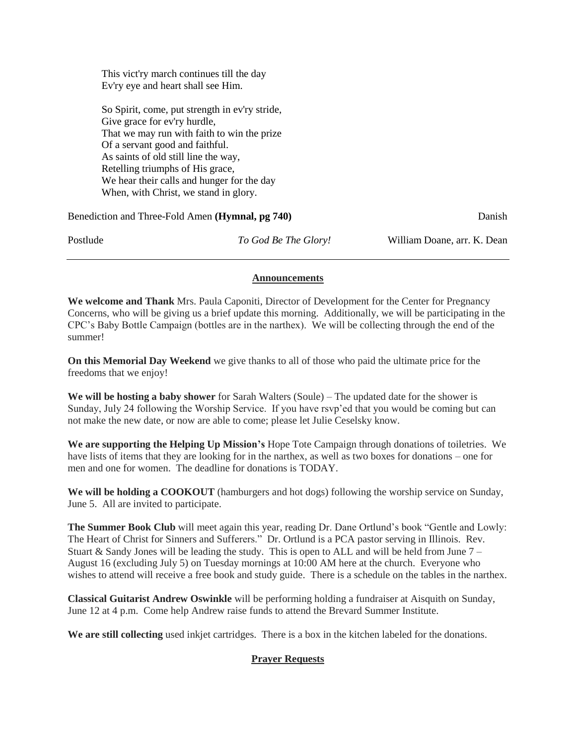This vict'ry march continues till the day Ev'ry eye and heart shall see Him.

So Spirit, come, put strength in ev'ry stride, Give grace for ev'ry hurdle, That we may run with faith to win the prize Of a servant good and faithful. As saints of old still line the way, Retelling triumphs of His grace, We hear their calls and hunger for the day When, with Christ, we stand in glory.

Benediction and Three-Fold Amen **(Hymnal, pg 740)** Danish

Postlude *To God Be The Glory!* William Doane, arr. K. Dean

#### **Announcements**

**We welcome and Thank** Mrs. Paula Caponiti, Director of Development for the Center for Pregnancy Concerns, who will be giving us a brief update this morning. Additionally, we will be participating in the CPC's Baby Bottle Campaign (bottles are in the narthex). We will be collecting through the end of the summer!

**On this Memorial Day Weekend** we give thanks to all of those who paid the ultimate price for the freedoms that we enjoy!

**We will be hosting a baby shower** for Sarah Walters (Soule) – The updated date for the shower is Sunday, July 24 following the Worship Service. If you have rsvp'ed that you would be coming but can not make the new date, or now are able to come; please let Julie Ceselsky know.

**We are supporting the Helping Up Mission's** Hope Tote Campaign through donations of toiletries. We have lists of items that they are looking for in the narthex, as well as two boxes for donations – one for men and one for women. The deadline for donations is TODAY.

**We will be holding a COOKOUT** (hamburgers and hot dogs) following the worship service on Sunday, June 5. All are invited to participate.

**The Summer Book Club** will meet again this year, reading Dr. Dane Ortlund's book "Gentle and Lowly: The Heart of Christ for Sinners and Sufferers." Dr. Ortlund is a PCA pastor serving in Illinois. Rev. Stuart & Sandy Jones will be leading the study. This is open to ALL and will be held from June  $7 -$ August 16 (excluding July 5) on Tuesday mornings at 10:00 AM here at the church. Everyone who wishes to attend will receive a free book and study guide. There is a schedule on the tables in the narthex.

**Classical Guitarist Andrew Oswinkle** will be performing holding a fundraiser at Aisquith on Sunday, June 12 at 4 p.m. Come help Andrew raise funds to attend the Brevard Summer Institute.

**We are still collecting** used inkjet cartridges. There is a box in the kitchen labeled for the donations.

# **Prayer Requests**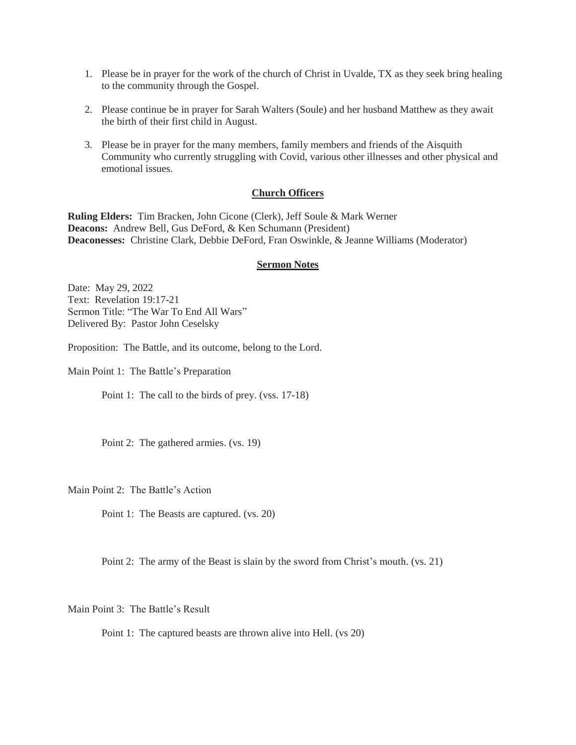- 1. Please be in prayer for the work of the church of Christ in Uvalde, TX as they seek bring healing to the community through the Gospel.
- 2. Please continue be in prayer for Sarah Walters (Soule) and her husband Matthew as they await the birth of their first child in August.
- 3. Please be in prayer for the many members, family members and friends of the Aisquith Community who currently struggling with Covid, various other illnesses and other physical and emotional issues.

## **Church Officers**

**Ruling Elders:** Tim Bracken, John Cicone (Clerk), Jeff Soule & Mark Werner **Deacons:** Andrew Bell, Gus DeFord, & Ken Schumann (President) **Deaconesses:** Christine Clark, Debbie DeFord, Fran Oswinkle, & Jeanne Williams (Moderator)

## **Sermon Notes**

Date: May 29, 2022 Text: Revelation 19:17-21 Sermon Title: "The War To End All Wars" Delivered By: Pastor John Ceselsky

Proposition: The Battle, and its outcome, belong to the Lord.

Main Point 1: The Battle's Preparation

Point 1: The call to the birds of prey. (vss. 17-18)

Point 2: The gathered armies. (vs. 19)

Main Point 2: The Battle's Action

Point 1: The Beasts are captured. (vs. 20)

Point 2: The army of the Beast is slain by the sword from Christ's mouth. (vs. 21)

Main Point 3: The Battle's Result

Point 1: The captured beasts are thrown alive into Hell. (vs 20)